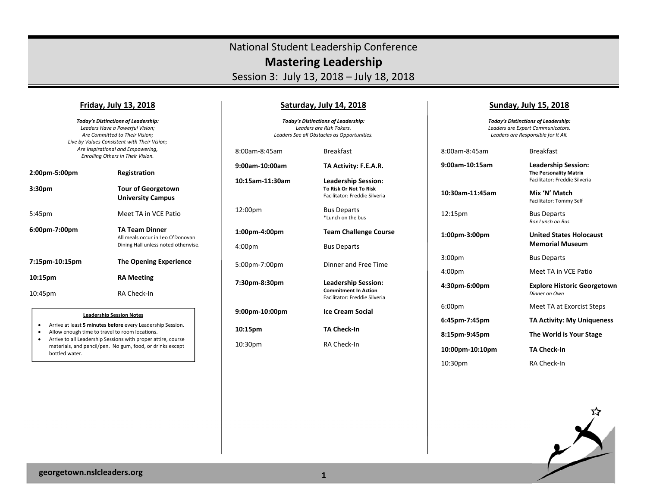# National Student Leadership Conference **Mastering Leadership**

Session 3: July 13, 2018 – July 18, 2018

#### **Friday, July 13, 2018**

*Today's Distinctions of Leadership: Leaders Have a Powerful Vision; Are Committed to Their Vision; Live by Values Consistent with Their Vision; Are Inspirational and Empowering, Enrolling Others in Their Vision.* 

| 2:00pm-5:00pm      | Registration                                                                                     |
|--------------------|--------------------------------------------------------------------------------------------------|
| 3:30 <sub>pm</sub> | <b>Tour of Georgetown</b><br><b>University Campus</b>                                            |
| 5:45pm             | Meet TA in VCF Patio                                                                             |
| 6:00pm-7:00pm      | <b>TA Team Dinner</b><br>All meals occur in Leo O'Donovan<br>Dining Hall unless noted otherwise. |
| 7:15pm-10:15pm     | <b>The Opening Experience</b>                                                                    |
| 10:15pm            | <b>RA Meeting</b>                                                                                |
| 10:45pm            | RA Check-In                                                                                      |

#### **Leadership Session Notes**

- $\bullet$ Arrive at least **5 minutes before** every Leadership Session.
- $\bullet$ Allow enough time to travel to room locations.
- $\bullet$  Arrive to all Leadership Sessions with proper attire, course materials, and pencil/pen. No gum, food, or drinks except bottled water.

### **Saturday, July 14, 2018**

*Today's Distinctions of Leadership: Leaders are Risk Takers. Leaders See all Obstacles as Opportunities.* 

8:00am‐8:45am Breakfast **9:00am‐10:00am TA Activity: F.E.A.R.** 

**10:15am‐11:30am Leadership Session:** 

**10:15pm TA Check‐In** 

 **To Risk Or Not To Risk**  Facilitator: Freddie Silveria 12:00pm Bus Departs \*Lunch on the bus **1:00pm‐4:00pm Team Challenge Course**  4:00pm Bus Departs 5:00pm‐7:00pm Dinner and Free Time **7:30pm‐8:30pm Leadership Session: Commitment In Action**  Facilitator: Freddie Silveria **9:00pm‐10:00pm Ice Cream Social**  10:30pm RA Check-In

### **Sunday, July 15, 2018**

*Today's Distinctions of Leadership: Leaders are Expert Communicators. Leaders are Responsible for It All.* 

8:00am‐8:45am Breakfast **9:00am‐10:15am Leadership Session: The Personality Matrix** 

**10:30am‐11:45am Mix 'N' Match** 

12:15pm Bus Departs

**1:00pm‐3:00pm United States Holocaust** 

**10:00pm‐10:10pm TA Check‐In** 

**Memorial Museum** 3:00pm Bus Departs

Facilitator: Freddie Silveria

Facilitator: Tommy Self

*Box Lunch on Bus* 

4:00pm Meet TA in VCE Patio

**4:30pm‐6:00pm Explore Historic Georgetown**   *Dinner on Own* 

6:00pm Meet TA at Exorcist Steps

**6:45pm‐7:45pm TA Activity: My Uniqueness** 

**8:15pm‐9:45pm The World is Your Stage** 

10:30pm RA Check-In



**georgetown.nslcleaders.org <sup>1</sup>**